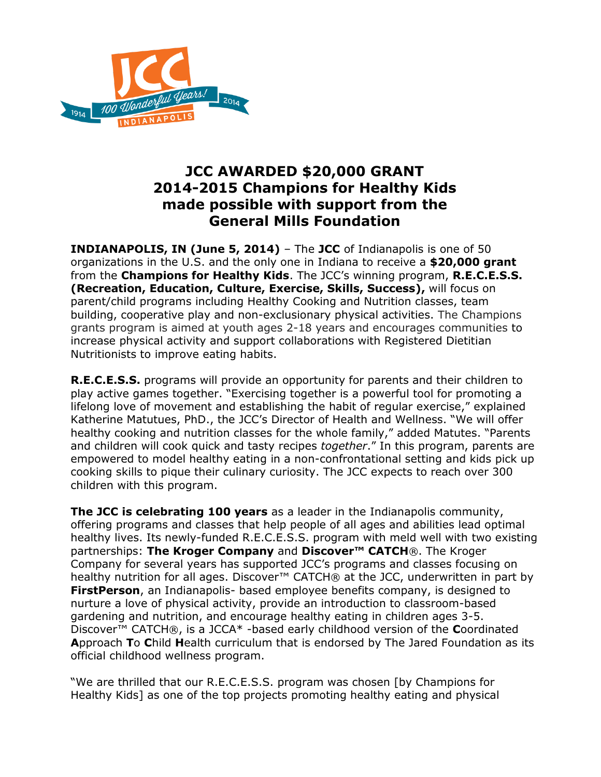

## **JCC AWARDED \$20,000 GRANT 2014-2015 Champions for Healthy Kids made possible with support from the General Mills Foundation**

**INDIANAPOLIS, IN (June 5, 2014)** – The **JCC** of Indianapolis is one of 50 organizations in the U.S. and the only one in Indiana to receive a **\$20,000 grant** from the **Champions for Healthy Kids**. The JCC's winning program, **R.E.C.E.S.S. (Recreation, Education, Culture, Exercise, Skills, Success),** will focus on parent/child programs including Healthy Cooking and Nutrition classes, team building, cooperative play and non-exclusionary physical activities. The Champions grants program is aimed at youth ages 2-18 years and encourages communities to increase physical activity and support collaborations with Registered Dietitian Nutritionists to improve eating habits.

**R.E.C.E.S.S.** programs will provide an opportunity for parents and their children to play active games together. "Exercising together is a powerful tool for promoting a lifelong love of movement and establishing the habit of regular exercise," explained Katherine Matutues, PhD., the JCC's Director of Health and Wellness. "We will offer healthy cooking and nutrition classes for the whole family," added Matutes. "Parents and children will cook quick and tasty recipes *together*." In this program, parents are empowered to model healthy eating in a non-confrontational setting and kids pick up cooking skills to pique their culinary curiosity. The JCC expects to reach over 300 children with this program.

**The JCC is celebrating 100 years** as a leader in the Indianapolis community, offering programs and classes that help people of all ages and abilities lead optimal healthy lives. Its newly-funded R.E.C.E.S.S. program with meld well with two existing partnerships: **The Kroger Company** and **Discover™ CATCH**®. The Kroger Company for several years has supported JCC's programs and classes focusing on healthy nutrition for all ages. Discover<sup>™</sup> CATCH® at the JCC, underwritten in part by **FirstPerson**, an Indianapolis- based employee benefits company, is designed to nurture a love of physical activity, provide an introduction to classroom-based gardening and nutrition, and encourage healthy eating in children ages 3-5. Discover™ CATCH®, is a JCCA\* -based early childhood version of the **C**oordinated **A**pproach **T**o **C**hild **H**ealth curriculum that is endorsed by The Jared Foundation as its official childhood wellness program.

"We are thrilled that our R.E.C.E.S.S. program was chosen [by Champions for Healthy Kids] as one of the top projects promoting healthy eating and physical